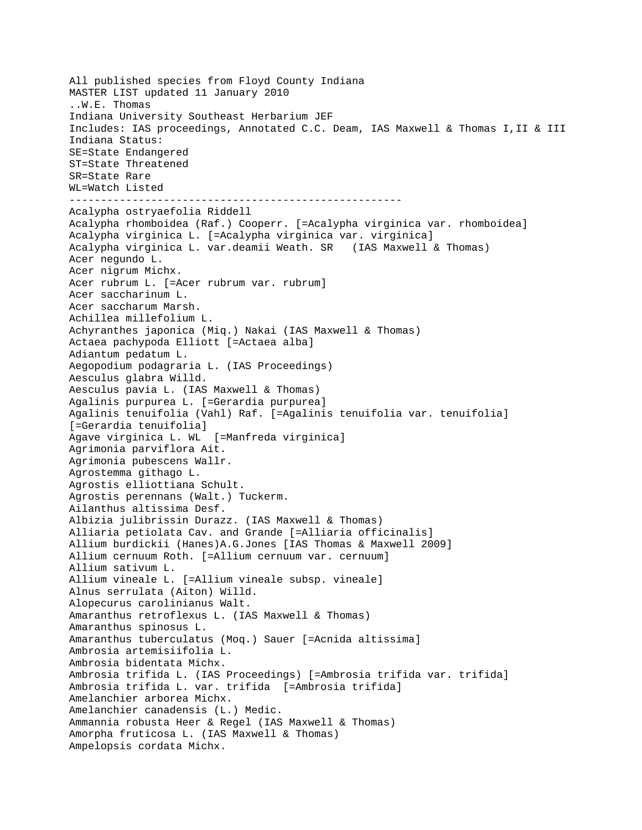All published species from Floyd County Indiana MASTER LIST updated 11 January 2010 ..W.E. Thomas Indiana University Southeast Herbarium JEF Includes: IAS proceedings, Annotated C.C. Deam, IAS Maxwell & Thomas I,II & III Indiana Status: SE=State Endangered ST=State Threatened SR=State Rare WL=Watch Listed ----------------------------------------------------- Acalypha ostryaefolia Riddell Acalypha rhomboidea (Raf.) Cooperr. [=Acalypha virginica var. rhomboidea] Acalypha virginica L. [=Acalypha virginica var. virginica] Acalypha virginica L. var.deamii Weath. SR (IAS Maxwell & Thomas) Acer negundo L. Acer nigrum Michx. Acer rubrum L. [=Acer rubrum var. rubrum] Acer saccharinum L. Acer saccharum Marsh. Achillea millefolium L. Achyranthes japonica (Miq.) Nakai (IAS Maxwell & Thomas) Actaea pachypoda Elliott [=Actaea alba] Adiantum pedatum L. Aegopodium podagraria L. (IAS Proceedings) Aesculus glabra Willd. Aesculus pavia L. (IAS Maxwell & Thomas) Agalinis purpurea L. [=Gerardia purpurea] Agalinis tenuifolia (Vahl) Raf. [=Agalinis tenuifolia var. tenuifolia] [=Gerardia tenuifolia] Agave virginica L. WL [=Manfreda virginica] Agrimonia parviflora Ait. Agrimonia pubescens Wallr. Agrostemma githago L. Agrostis elliottiana Schult. Agrostis perennans (Walt.) Tuckerm. Ailanthus altissima Desf. Albizia julibrissin Durazz. (IAS Maxwell & Thomas) Alliaria petiolata Cav. and Grande [=Alliaria officinalis] Allium burdickii (Hanes)A.G.Jones [IAS Thomas & Maxwell 2009] Allium cernuum Roth. [=Allium cernuum var. cernuum] Allium sativum L. Allium vineale L. [=Allium vineale subsp. vineale] Alnus serrulata (Aiton) Willd. Alopecurus carolinianus Walt. Amaranthus retroflexus L. (IAS Maxwell & Thomas) Amaranthus spinosus L. Amaranthus tuberculatus (Moq.) Sauer [=Acnida altissima] Ambrosia artemisiifolia L. Ambrosia bidentata Michx. Ambrosia trifida L. (IAS Proceedings) [=Ambrosia trifida var. trifida] Ambrosia trifida L. var. trifida [=Ambrosia trifida] Amelanchier arborea Michx. Amelanchier canadensis (L.) Medic. Ammannia robusta Heer & Regel (IAS Maxwell & Thomas) Amorpha fruticosa L. (IAS Maxwell & Thomas) Ampelopsis cordata Michx.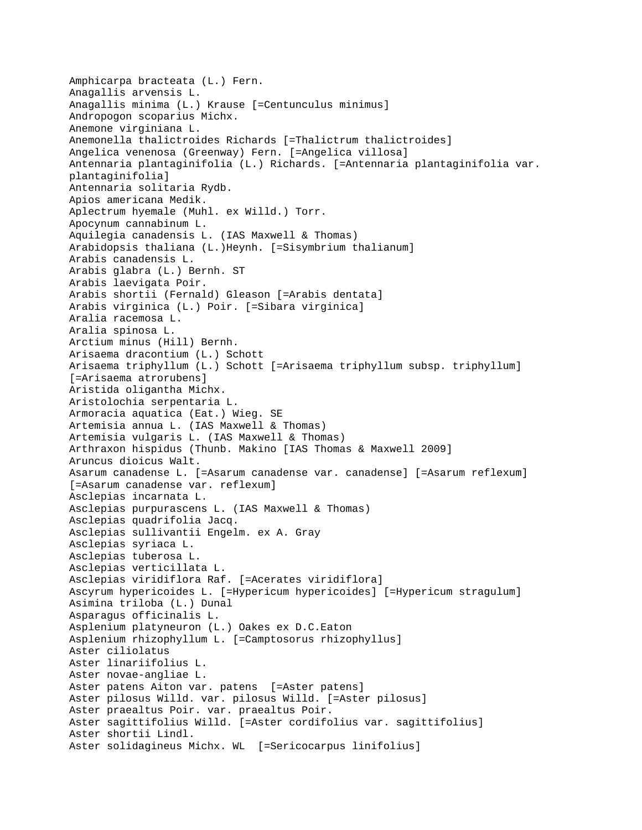```
Amphicarpa bracteata (L.) Fern.
Anagallis arvensis L.
Anagallis minima (L.) Krause [=Centunculus minimus]
Andropogon scoparius Michx.
Anemone virginiana L.
Anemonella thalictroides Richards [=Thalictrum thalictroides]
Angelica venenosa (Greenway) Fern. [=Angelica villosa]
Antennaria plantaginifolia (L.) Richards. [=Antennaria plantaginifolia var. 
plantaginifolia]
Antennaria solitaria Rydb.
Apios americana Medik.
Aplectrum hyemale (Muhl. ex Willd.) Torr.
Apocynum cannabinum L.
Aquilegia canadensis L. (IAS Maxwell & Thomas)
Arabidopsis thaliana (L.)Heynh. [=Sisymbrium thalianum]
Arabis canadensis L.
Arabis glabra (L.) Bernh. ST 
Arabis laevigata Poir.
Arabis shortii (Fernald) Gleason [=Arabis dentata]
Arabis virginica (L.) Poir. [=Sibara virginica]
Aralia racemosa L.
Aralia spinosa L.
Arctium minus (Hill) Bernh.
Arisaema dracontium (L.) Schott
Arisaema triphyllum (L.) Schott [=Arisaema triphyllum subsp. triphyllum] 
[=Arisaema atrorubens]
Aristida oligantha Michx.
Aristolochia serpentaria L.
Armoracia aquatica (Eat.) Wieg. SE 
Artemisia annua L. (IAS Maxwell & Thomas)
Artemisia vulgaris L. (IAS Maxwell & Thomas)
Arthraxon hispidus (Thunb. Makino [IAS Thomas & Maxwell 2009]
Aruncus dioicus Walt.
Asarum canadense L. [=Asarum canadense var. canadense] [=Asarum reflexum] 
[=Asarum canadense var. reflexum]
Asclepias incarnata L.
Asclepias purpurascens L. (IAS Maxwell & Thomas)
Asclepias quadrifolia Jacq.
Asclepias sullivantii Engelm. ex A. Gray
Asclepias syriaca L.
Asclepias tuberosa L.
Asclepias verticillata L.
Asclepias viridiflora Raf. [=Acerates viridiflora]
Ascyrum hypericoides L. [=Hypericum hypericoides] [=Hypericum stragulum]
Asimina triloba (L.) Dunal
Asparagus officinalis L.
Asplenium platyneuron (L.) Oakes ex D.C.Eaton
Asplenium rhizophyllum L. [=Camptosorus rhizophyllus]
Aster ciliolatus 
Aster linariifolius L.
Aster novae-angliae L.
Aster patens Aiton var. patens [=Aster patens]
Aster pilosus Willd. var. pilosus Willd. [=Aster pilosus]
Aster praealtus Poir. var. praealtus Poir.
Aster sagittifolius Willd. [=Aster cordifolius var. sagittifolius]
Aster shortii Lindl.
Aster solidagineus Michx. WL [=Sericocarpus linifolius]
```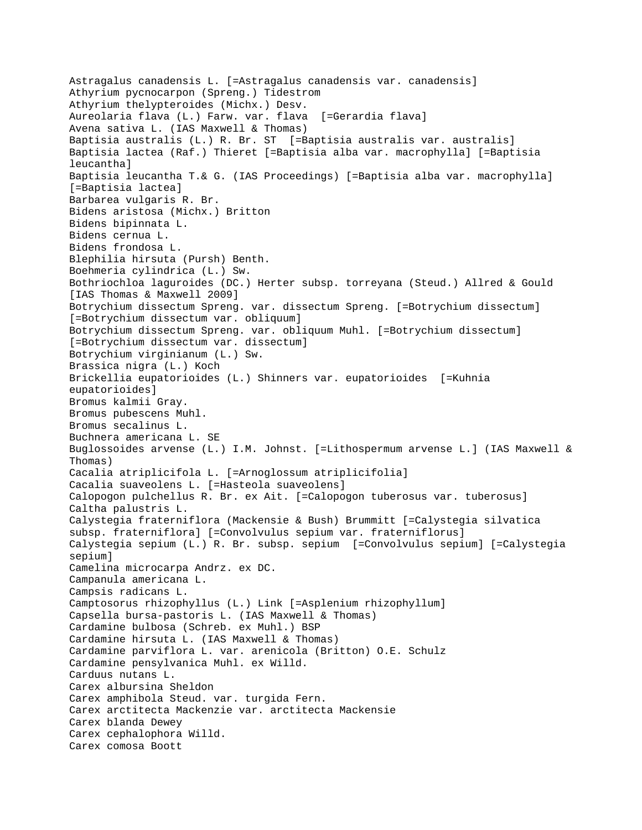```
Astragalus canadensis L. [=Astragalus canadensis var. canadensis]
Athyrium pycnocarpon (Spreng.) Tidestrom
Athyrium thelypteroides (Michx.) Desv.
Aureolaria flava (L.) Farw. var. flava [=Gerardia flava]
Avena sativa L. (IAS Maxwell & Thomas)
Baptisia australis (L.) R. Br. ST [=Baptisia australis var. australis]
Baptisia lactea (Raf.) Thieret [=Baptisia alba var. macrophylla] [=Baptisia 
leucantha]
Baptisia leucantha T.& G. (IAS Proceedings) [=Baptisia alba var. macrophylla] 
[=Baptisia lactea]
Barbarea vulgaris R. Br.
Bidens aristosa (Michx.) Britton
Bidens bipinnata L.
Bidens cernua L.
Bidens frondosa L.
Blephilia hirsuta (Pursh) Benth.
Boehmeria cylindrica (L.) Sw.
Bothriochloa laguroides (DC.) Herter subsp. torreyana (Steud.) Allred & Gould 
[IAS Thomas & Maxwell 2009]
Botrychium dissectum Spreng. var. dissectum Spreng. [=Botrychium dissectum] 
[=Botrychium dissectum var. obliquum]
Botrychium dissectum Spreng. var. obliquum Muhl. [=Botrychium dissectum] 
[=Botrychium dissectum var. dissectum]
Botrychium virginianum (L.) Sw.
Brassica nigra (L.) Koch
Brickellia eupatorioides (L.) Shinners var. eupatorioides [=Kuhnia 
eupatorioides]
Bromus kalmii Gray.
Bromus pubescens Muhl.
Bromus secalinus L.
Buchnera americana L. SE 
Buglossoides arvense (L.) I.M. Johnst. [=Lithospermum arvense L.] (IAS Maxwell & 
Thomas)
Cacalia atriplicifola L. [=Arnoglossum atriplicifolia]
Cacalia suaveolens L. [=Hasteola suaveolens]
Calopogon pulchellus R. Br. ex Ait. [=Calopogon tuberosus var. tuberosus]
Caltha palustris L.
Calystegia fraterniflora (Mackensie & Bush) Brummitt [=Calystegia silvatica 
subsp. fraterniflora] [=Convolvulus sepium var. fraterniflorus]
Calystegia sepium (L.) R. Br. subsp. sepium [=Convolvulus sepium] [=Calystegia 
sepium]
Camelina microcarpa Andrz. ex DC.
Campanula americana L.
Campsis radicans L.
Camptosorus rhizophyllus (L.) Link [=Asplenium rhizophyllum]
Capsella bursa-pastoris L. (IAS Maxwell & Thomas)
Cardamine bulbosa (Schreb. ex Muhl.) BSP
Cardamine hirsuta L. (IAS Maxwell & Thomas)
Cardamine parviflora L. var. arenicola (Britton) O.E. Schulz
Cardamine pensylvanica Muhl. ex Willd.
Carduus nutans L.
Carex albursina Sheldon
Carex amphibola Steud. var. turgida Fern.
Carex arctitecta Mackenzie var. arctitecta Mackensie
Carex blanda Dewey
Carex cephalophora Willd.
Carex comosa Boott
```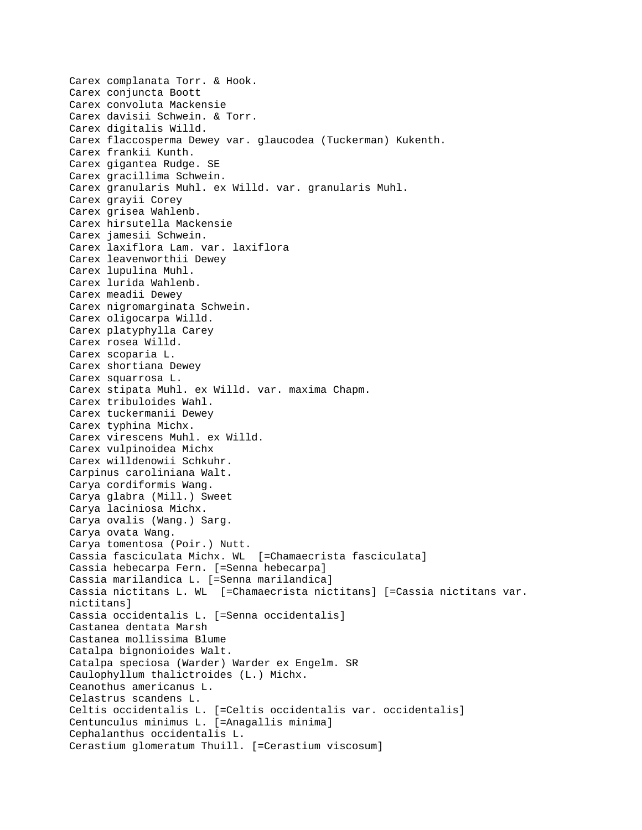Carex complanata Torr. & Hook. Carex conjuncta Boott Carex convoluta Mackensie Carex davisii Schwein. & Torr. Carex digitalis Willd. Carex flaccosperma Dewey var. glaucodea (Tuckerman) Kukenth. Carex frankii Kunth. Carex gigantea Rudge. SE Carex gracillima Schwein. Carex granularis Muhl. ex Willd. var. granularis Muhl. Carex grayii Corey Carex grisea Wahlenb. Carex hirsutella Mackensie Carex jamesii Schwein. Carex laxiflora Lam. var. laxiflora Carex leavenworthii Dewey Carex lupulina Muhl. Carex lurida Wahlenb. Carex meadii Dewey Carex nigromarginata Schwein. Carex oligocarpa Willd. Carex platyphylla Carey Carex rosea Willd. Carex scoparia L. Carex shortiana Dewey Carex squarrosa L. Carex stipata Muhl. ex Willd. var. maxima Chapm. Carex tribuloides Wahl. Carex tuckermanii Dewey Carex typhina Michx. Carex virescens Muhl. ex Willd. Carex vulpinoidea Michx Carex willdenowii Schkuhr. Carpinus caroliniana Walt. Carya cordiformis Wang. Carya glabra (Mill.) Sweet Carya laciniosa Michx. Carya ovalis (Wang.) Sarg. Carya ovata Wang. Carya tomentosa (Poir.) Nutt. Cassia fasciculata Michx. WL [=Chamaecrista fasciculata] Cassia hebecarpa Fern. [=Senna hebecarpa] Cassia marilandica L. [=Senna marilandica] Cassia nictitans L. WL [=Chamaecrista nictitans] [=Cassia nictitans var. nictitans] Cassia occidentalis L. [=Senna occidentalis] Castanea dentata Marsh Castanea mollissima Blume Catalpa bignonioides Walt. Catalpa speciosa (Warder) Warder ex Engelm. SR Caulophyllum thalictroides (L.) Michx. Ceanothus americanus L. Celastrus scandens L. Celtis occidentalis L. [=Celtis occidentalis var. occidentalis] Centunculus minimus L. [=Anagallis minima] Cephalanthus occidentalis L. Cerastium glomeratum Thuill. [=Cerastium viscosum]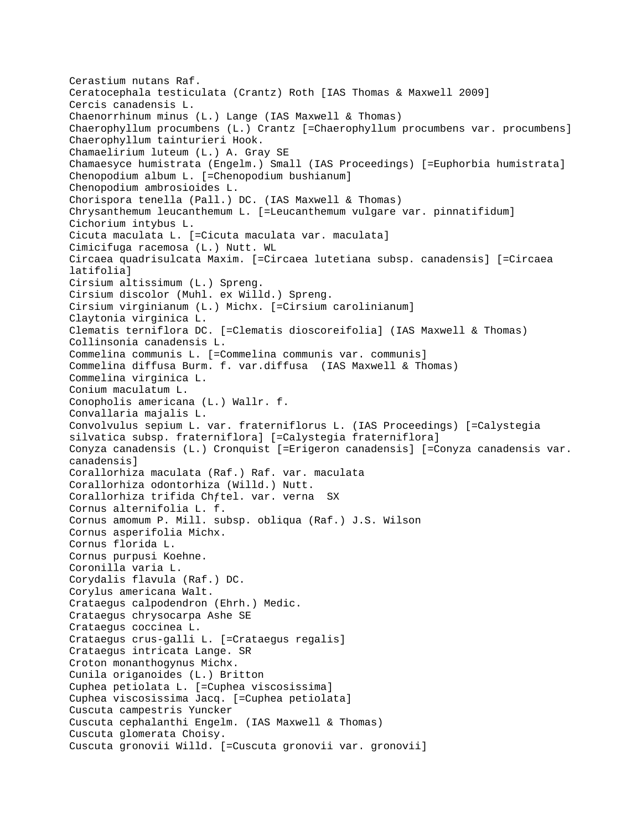Cerastium nutans Raf. Ceratocephala testiculata (Crantz) Roth [IAS Thomas & Maxwell 2009] Cercis canadensis L. Chaenorrhinum minus (L.) Lange (IAS Maxwell & Thomas) Chaerophyllum procumbens (L.) Crantz [=Chaerophyllum procumbens var. procumbens] Chaerophyllum tainturieri Hook. Chamaelirium luteum (L.) A. Gray SE Chamaesyce humistrata (Engelm.) Small (IAS Proceedings) [=Euphorbia humistrata] Chenopodium album L. [=Chenopodium bushianum] Chenopodium ambrosioides L. Chorispora tenella (Pall.) DC. (IAS Maxwell & Thomas) Chrysanthemum leucanthemum L. [=Leucanthemum vulgare var. pinnatifidum] Cichorium intybus L. Cicuta maculata L. [=Cicuta maculata var. maculata] Cimicifuga racemosa (L.) Nutt. WL Circaea quadrisulcata Maxim. [=Circaea lutetiana subsp. canadensis] [=Circaea latifolia] Cirsium altissimum (L.) Spreng. Cirsium discolor (Muhl. ex Willd.) Spreng. Cirsium virginianum (L.) Michx. [=Cirsium carolinianum] Claytonia virginica L. Clematis terniflora DC. [=Clematis dioscoreifolia] (IAS Maxwell & Thomas) Collinsonia canadensis L. Commelina communis L. [=Commelina communis var. communis] Commelina diffusa Burm. f. var.diffusa (IAS Maxwell & Thomas) Commelina virginica L. Conium maculatum L. Conopholis americana (L.) Wallr. f. Convallaria majalis L. Convolvulus sepium L. var. fraterniflorus L. (IAS Proceedings) [=Calystegia silvatica subsp. fraterniflora] [=Calystegia fraterniflora] Conyza canadensis (L.) Cronquist [=Erigeron canadensis] [=Conyza canadensis var. canadensis] Corallorhiza maculata (Raf.) Raf. var. maculata Corallorhiza odontorhiza (Willd.) Nutt. Corallorhiza trifida Chƒtel. var. verna SX Cornus alternifolia L. f. Cornus amomum P. Mill. subsp. obliqua (Raf.) J.S. Wilson Cornus asperifolia Michx. Cornus florida L. Cornus purpusi Koehne. Coronilla varia L. Corydalis flavula (Raf.) DC. Corylus americana Walt. Crataegus calpodendron (Ehrh.) Medic. Crataegus chrysocarpa Ashe SE Crataegus coccinea L. Crataegus crus-galli L. [=Crataegus regalis] Crataegus intricata Lange. SR Croton monanthogynus Michx. Cunila origanoides (L.) Britton Cuphea petiolata L. [=Cuphea viscosissima] Cuphea viscosissima Jacq. [=Cuphea petiolata] Cuscuta campestris Yuncker Cuscuta cephalanthi Engelm. (IAS Maxwell & Thomas) Cuscuta glomerata Choisy. Cuscuta gronovii Willd. [=Cuscuta gronovii var. gronovii]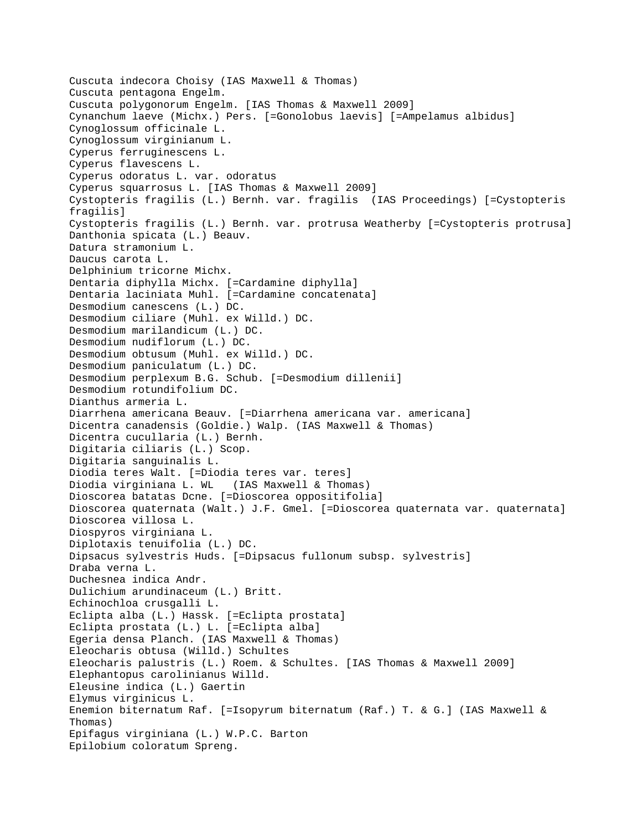```
Cuscuta indecora Choisy (IAS Maxwell & Thomas)
Cuscuta pentagona Engelm.
Cuscuta polygonorum Engelm. [IAS Thomas & Maxwell 2009]
Cynanchum laeve (Michx.) Pers. [=Gonolobus laevis] [=Ampelamus albidus]
Cynoglossum officinale L.
Cynoglossum virginianum L.
Cyperus ferruginescens L.
Cyperus flavescens L.
Cyperus odoratus L. var. odoratus 
Cyperus squarrosus L. [IAS Thomas & Maxwell 2009]
Cystopteris fragilis (L.) Bernh. var. fragilis (IAS Proceedings) [=Cystopteris 
fragilis]
Cystopteris fragilis (L.) Bernh. var. protrusa Weatherby [=Cystopteris protrusa]
Danthonia spicata (L.) Beauv.
Datura stramonium L.
Daucus carota L.
Delphinium tricorne Michx.
Dentaria diphylla Michx. [=Cardamine diphylla]
Dentaria laciniata Muhl. [=Cardamine concatenata]
Desmodium canescens (L.) DC.
Desmodium ciliare (Muhl. ex Willd.) DC.
Desmodium marilandicum (L.) DC.
Desmodium nudiflorum (L.) DC.
Desmodium obtusum (Muhl. ex Willd.) DC.
Desmodium paniculatum (L.) DC.
Desmodium perplexum B.G. Schub. [=Desmodium dillenii]
Desmodium rotundifolium DC.
Dianthus armeria L.
Diarrhena americana Beauv. [=Diarrhena americana var. americana]
Dicentra canadensis (Goldie.) Walp. (IAS Maxwell & Thomas)
Dicentra cucullaria (L.) Bernh.
Digitaria ciliaris (L.) Scop.
Digitaria sanguinalis L.
Diodia teres Walt. [=Diodia teres var. teres]
Diodia virginiana L. WL (IAS Maxwell & Thomas)
Dioscorea batatas Dcne. [=Dioscorea oppositifolia]
Dioscorea quaternata (Walt.) J.F. Gmel. [=Dioscorea quaternata var. quaternata]
Dioscorea villosa L.
Diospyros virginiana L.
Diplotaxis tenuifolia (L.) DC.
Dipsacus sylvestris Huds. [=Dipsacus fullonum subsp. sylvestris]
Draba verna L.
Duchesnea indica Andr.
Dulichium arundinaceum (L.) Britt.
Echinochloa crusgalli L.
Eclipta alba (L.) Hassk. [=Eclipta prostata]
Eclipta prostata (L.) L. [=Eclipta alba]
Egeria densa Planch. (IAS Maxwell & Thomas)
Eleocharis obtusa (Willd.) Schultes
Eleocharis palustris (L.) Roem. & Schultes. [IAS Thomas & Maxwell 2009]
Elephantopus carolinianus Willd.
Eleusine indica (L.) Gaertin
Elymus virginicus L.
Enemion biternatum Raf. [=Isopyrum biternatum (Raf.) T. & G.] (IAS Maxwell & 
Thomas)
Epifagus virginiana (L.) W.P.C. Barton
Epilobium coloratum Spreng.
```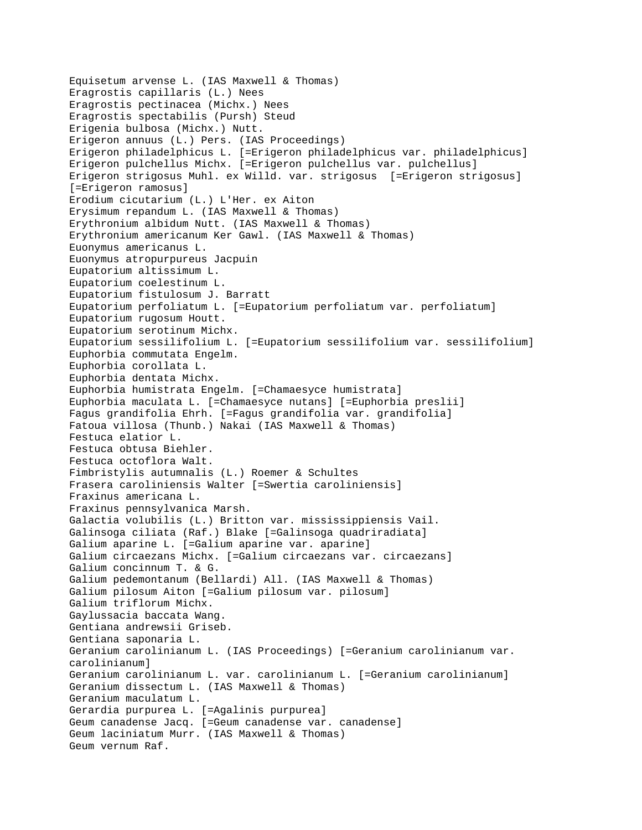Equisetum arvense L. (IAS Maxwell & Thomas) Eragrostis capillaris (L.) Nees Eragrostis pectinacea (Michx.) Nees Eragrostis spectabilis (Pursh) Steud Erigenia bulbosa (Michx.) Nutt. Erigeron annuus (L.) Pers. (IAS Proceedings) Erigeron philadelphicus L. [=Erigeron philadelphicus var. philadelphicus] Erigeron pulchellus Michx. [=Erigeron pulchellus var. pulchellus] Erigeron strigosus Muhl. ex Willd. var. strigosus [=Erigeron strigosus] [=Erigeron ramosus] Erodium cicutarium (L.) L'Her. ex Aiton Erysimum repandum L. (IAS Maxwell & Thomas) Erythronium albidum Nutt. (IAS Maxwell & Thomas) Erythronium americanum Ker Gawl. (IAS Maxwell & Thomas) Euonymus americanus L. Euonymus atropurpureus Jacpuin Eupatorium altissimum L. Eupatorium coelestinum L. Eupatorium fistulosum J. Barratt Eupatorium perfoliatum L. [=Eupatorium perfoliatum var. perfoliatum] Eupatorium rugosum Houtt. Eupatorium serotinum Michx. Eupatorium sessilifolium L. [=Eupatorium sessilifolium var. sessilifolium] Euphorbia commutata Engelm. Euphorbia corollata L. Euphorbia dentata Michx. Euphorbia humistrata Engelm. [=Chamaesyce humistrata] Euphorbia maculata L. [=Chamaesyce nutans] [=Euphorbia preslii] Fagus grandifolia Ehrh. [=Fagus grandifolia var. grandifolia] Fatoua villosa (Thunb.) Nakai (IAS Maxwell & Thomas) Festuca elatior L. Festuca obtusa Biehler. Festuca octoflora Walt. Fimbristylis autumnalis (L.) Roemer & Schultes Frasera caroliniensis Walter [=Swertia caroliniensis] Fraxinus americana L. Fraxinus pennsylvanica Marsh. Galactia volubilis (L.) Britton var. mississippiensis Vail. Galinsoga ciliata (Raf.) Blake [=Galinsoga quadriradiata] Galium aparine L. [=Galium aparine var. aparine] Galium circaezans Michx. [=Galium circaezans var. circaezans] Galium concinnum T. & G. Galium pedemontanum (Bellardi) All. (IAS Maxwell & Thomas) Galium pilosum Aiton [=Galium pilosum var. pilosum] Galium triflorum Michx. Gaylussacia baccata Wang. Gentiana andrewsii Griseb. Gentiana saponaria L. Geranium carolinianum L. (IAS Proceedings) [=Geranium carolinianum var. carolinianum] Geranium carolinianum L. var. carolinianum L. [=Geranium carolinianum] Geranium dissectum L. (IAS Maxwell & Thomas) Geranium maculatum L. Gerardia purpurea L. [=Agalinis purpurea] Geum canadense Jacq. [=Geum canadense var. canadense] Geum laciniatum Murr. (IAS Maxwell & Thomas) Geum vernum Raf.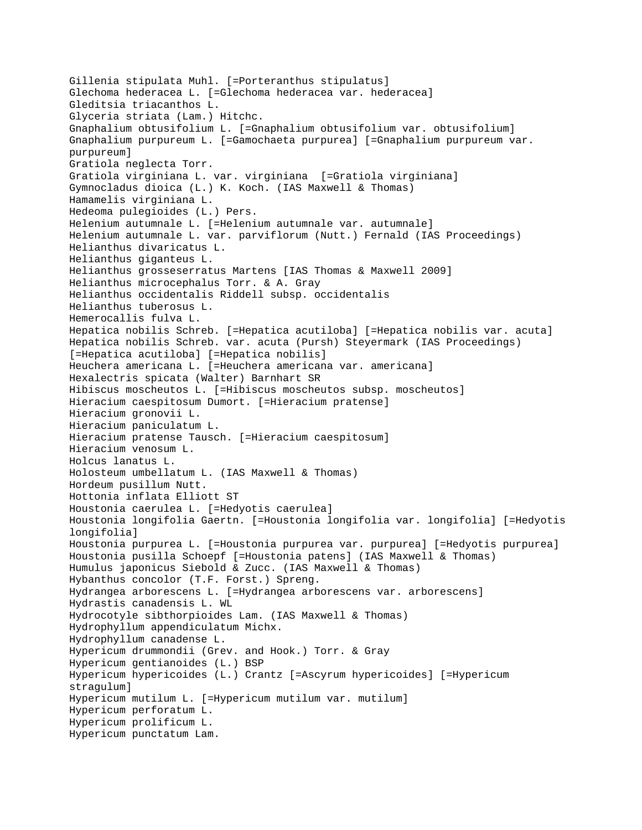```
Gillenia stipulata Muhl. [=Porteranthus stipulatus]
Glechoma hederacea L. [=Glechoma hederacea var. hederacea]
Gleditsia triacanthos L.
Glyceria striata (Lam.) Hitchc.
Gnaphalium obtusifolium L. [=Gnaphalium obtusifolium var. obtusifolium]
Gnaphalium purpureum L. [=Gamochaeta purpurea] [=Gnaphalium purpureum var. 
purpureum]
Gratiola neglecta Torr.
Gratiola virginiana L. var. virginiana [=Gratiola virginiana]
Gymnocladus dioica (L.) K. Koch. (IAS Maxwell & Thomas)
Hamamelis virginiana L.
Hedeoma pulegioides (L.) Pers.
Helenium autumnale L. [=Helenium autumnale var. autumnale]
Helenium autumnale L. var. parviflorum (Nutt.) Fernald (IAS Proceedings)
Helianthus divaricatus L.
Helianthus giganteus L.
Helianthus grosseserratus Martens [IAS Thomas & Maxwell 2009]
Helianthus microcephalus Torr. & A. Gray
Helianthus occidentalis Riddell subsp. occidentalis 
Helianthus tuberosus L.
Hemerocallis fulva L.
Hepatica nobilis Schreb. [=Hepatica acutiloba] [=Hepatica nobilis var. acuta]
Hepatica nobilis Schreb. var. acuta (Pursh) Steyermark (IAS Proceedings) 
[=Hepatica acutiloba] [=Hepatica nobilis]
Heuchera americana L. [=Heuchera americana var. americana]
Hexalectris spicata (Walter) Barnhart SR 
Hibiscus moscheutos L. [=Hibiscus moscheutos subsp. moscheutos]
Hieracium caespitosum Dumort. [=Hieracium pratense]
Hieracium gronovii L.
Hieracium paniculatum L.
Hieracium pratense Tausch. [=Hieracium caespitosum]
Hieracium venosum L.
Holcus lanatus L.
Holosteum umbellatum L. (IAS Maxwell & Thomas)
Hordeum pusillum Nutt.
Hottonia inflata Elliott ST 
Houstonia caerulea L. [=Hedyotis caerulea]
Houstonia longifolia Gaertn. [=Houstonia longifolia var. longifolia] [=Hedyotis 
longifolia]
Houstonia purpurea L. [=Houstonia purpurea var. purpurea] [=Hedyotis purpurea]
Houstonia pusilla Schoepf [=Houstonia patens] (IAS Maxwell & Thomas)
Humulus japonicus Siebold & Zucc. (IAS Maxwell & Thomas)
Hybanthus concolor (T.F. Forst.) Spreng.
Hydrangea arborescens L. [=Hydrangea arborescens var. arborescens]
Hydrastis canadensis L. WL
Hydrocotyle sibthorpioides Lam. (IAS Maxwell & Thomas)
Hydrophyllum appendiculatum Michx.
Hydrophyllum canadense L.
Hypericum drummondii (Grev. and Hook.) Torr. & Gray
Hypericum gentianoides (L.) BSP
Hypericum hypericoides (L.) Crantz [=Ascyrum hypericoides] [=Hypericum 
stragulum]
Hypericum mutilum L. [=Hypericum mutilum var. mutilum]
Hypericum perforatum L.
Hypericum prolificum L.
Hypericum punctatum Lam.
```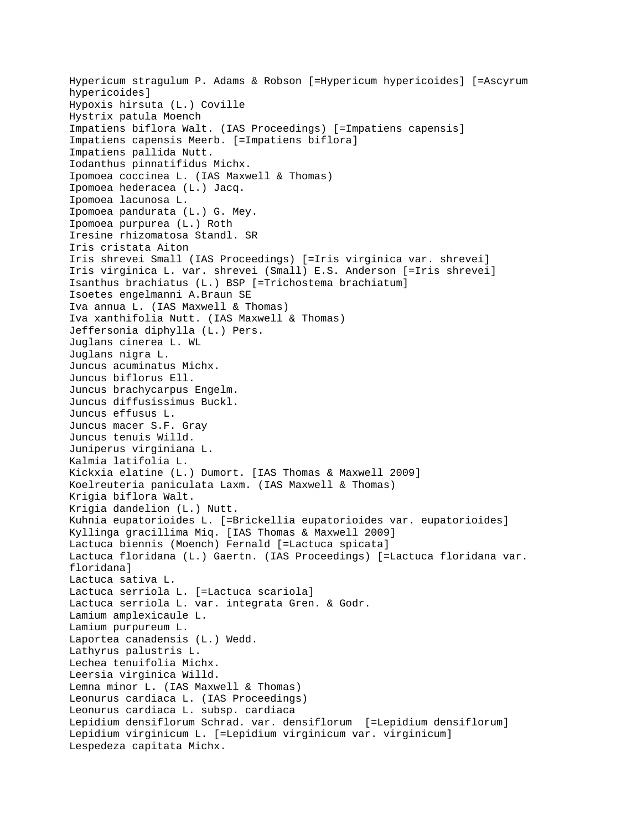Hypericum stragulum P. Adams & Robson [=Hypericum hypericoides] [=Ascyrum hypericoides] Hypoxis hirsuta (L.) Coville Hystrix patula Moench Impatiens biflora Walt. (IAS Proceedings) [=Impatiens capensis] Impatiens capensis Meerb. [=Impatiens biflora] Impatiens pallida Nutt. Iodanthus pinnatifidus Michx. Ipomoea coccinea L. (IAS Maxwell & Thomas) Ipomoea hederacea (L.) Jacq. Ipomoea lacunosa L. Ipomoea pandurata (L.) G. Mey. Ipomoea purpurea (L.) Roth Iresine rhizomatosa Standl. SR Iris cristata Aiton Iris shrevei Small (IAS Proceedings) [=Iris virginica var. shrevei] Iris virginica L. var. shrevei (Small) E.S. Anderson [=Iris shrevei] Isanthus brachiatus (L.) BSP [=Trichostema brachiatum] Isoetes engelmanni A.Braun SE Iva annua L. (IAS Maxwell & Thomas) Iva xanthifolia Nutt. (IAS Maxwell & Thomas) Jeffersonia diphylla (L.) Pers. Juglans cinerea L. WL Juglans nigra L. Juncus acuminatus Michx. Juncus biflorus Ell. Juncus brachycarpus Engelm. Juncus diffusissimus Buckl. Juncus effusus L. Juncus macer S.F. Gray Juncus tenuis Willd. Juniperus virginiana L. Kalmia latifolia L. Kickxia elatine (L.) Dumort. [IAS Thomas & Maxwell 2009] Koelreuteria paniculata Laxm. (IAS Maxwell & Thomas) Krigia biflora Walt. Krigia dandelion (L.) Nutt. Kuhnia eupatorioides L. [=Brickellia eupatorioides var. eupatorioides] Kyllinga gracillima Miq. [IAS Thomas & Maxwell 2009] Lactuca biennis (Moench) Fernald [=Lactuca spicata] Lactuca floridana (L.) Gaertn. (IAS Proceedings) [=Lactuca floridana var. floridana] Lactuca sativa L. Lactuca serriola L. [=Lactuca scariola] Lactuca serriola L. var. integrata Gren. & Godr. Lamium amplexicaule L. Lamium purpureum L. Laportea canadensis (L.) Wedd. Lathyrus palustris L. Lechea tenuifolia Michx. Leersia virginica Willd. Lemna minor L. (IAS Maxwell & Thomas) Leonurus cardiaca L. (IAS Proceedings) Leonurus cardiaca L. subsp. cardiaca Lepidium densiflorum Schrad. var. densiflorum [=Lepidium densiflorum] Lepidium virginicum L. [=Lepidium virginicum var. virginicum] Lespedeza capitata Michx.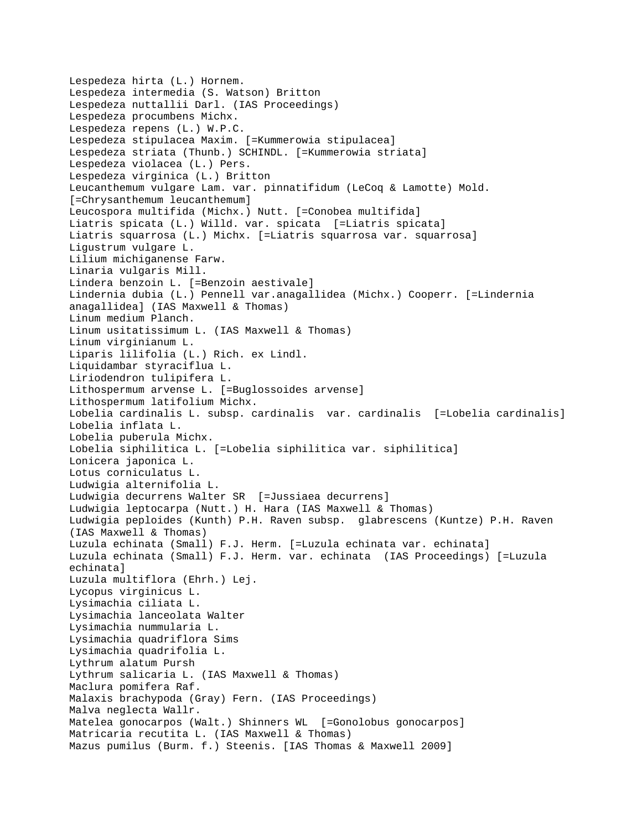```
Lespedeza hirta (L.) Hornem.
Lespedeza intermedia (S. Watson) Britton
Lespedeza nuttallii Darl. (IAS Proceedings)
Lespedeza procumbens Michx.
Lespedeza repens (L.) W.P.C.
Lespedeza stipulacea Maxim. [=Kummerowia stipulacea]
Lespedeza striata (Thunb.) SCHINDL. [=Kummerowia striata]
Lespedeza violacea (L.) Pers.
Lespedeza virginica (L.) Britton
Leucanthemum vulgare Lam. var. pinnatifidum (LeCoq & Lamotte) Mold. 
[=Chrysanthemum leucanthemum]
Leucospora multifida (Michx.) Nutt. [=Conobea multifida]
Liatris spicata (L.) Willd. var. spicata [=Liatris spicata]
Liatris squarrosa (L.) Michx. [=Liatris squarrosa var. squarrosa]
Ligustrum vulgare L.
Lilium michiganense Farw.
Linaria vulgaris Mill.
Lindera benzoin L. [=Benzoin aestivale]
Lindernia dubia (L.) Pennell var.anagallidea (Michx.) Cooperr. [=Lindernia 
anagallidea] (IAS Maxwell & Thomas)
Linum medium Planch.
Linum usitatissimum L. (IAS Maxwell & Thomas)
Linum virginianum L.
Liparis lilifolia (L.) Rich. ex Lindl.
Liquidambar styraciflua L.
Liriodendron tulipifera L.
Lithospermum arvense L. [=Buglossoides arvense]
Lithospermum latifolium Michx.
Lobelia cardinalis L. subsp. cardinalis var. cardinalis [=Lobelia cardinalis]
Lobelia inflata L.
Lobelia puberula Michx.
Lobelia siphilitica L. [=Lobelia siphilitica var. siphilitica]
Lonicera japonica L.
Lotus corniculatus L.
Ludwigia alternifolia L.
Ludwigia decurrens Walter SR [=Jussiaea decurrens]
Ludwigia leptocarpa (Nutt.) H. Hara (IAS Maxwell & Thomas)
Ludwigia peploides (Kunth) P.H. Raven subsp. glabrescens (Kuntze) P.H. Raven 
(IAS Maxwell & Thomas)
Luzula echinata (Small) F.J. Herm. [=Luzula echinata var. echinata]
Luzula echinata (Small) F.J. Herm. var. echinata (IAS Proceedings) [=Luzula 
echinata]
Luzula multiflora (Ehrh.) Lej.
Lycopus virginicus L.
Lysimachia ciliata L.
Lysimachia lanceolata Walter
Lysimachia nummularia L.
Lysimachia quadriflora Sims
Lysimachia quadrifolia L.
Lythrum alatum Pursh
Lythrum salicaria L. (IAS Maxwell & Thomas)
Maclura pomifera Raf.
Malaxis brachypoda (Gray) Fern. (IAS Proceedings)
Malva neglecta Wallr.
Matelea gonocarpos (Walt.) Shinners WL [=Gonolobus gonocarpos]
Matricaria recutita L. (IAS Maxwell & Thomas)
Mazus pumilus (Burm. f.) Steenis. [IAS Thomas & Maxwell 2009]
```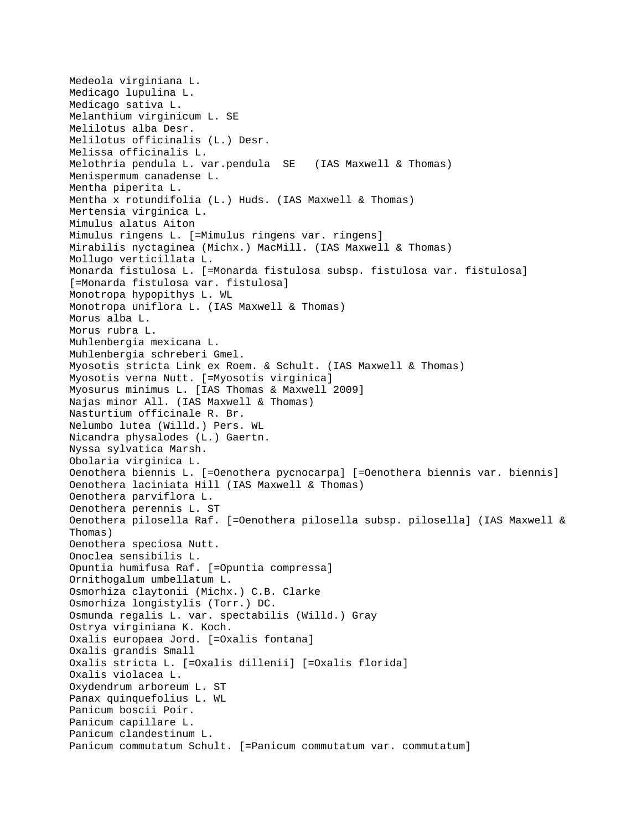Medeola virginiana L. Medicago lupulina L. Medicago sativa L. Melanthium virginicum L. SE Melilotus alba Desr. Melilotus officinalis (L.) Desr. Melissa officinalis L. Melothria pendula L. var.pendula SE (IAS Maxwell & Thomas) Menispermum canadense L. Mentha piperita L. Mentha x rotundifolia (L.) Huds. (IAS Maxwell & Thomas) Mertensia virginica L. Mimulus alatus Aiton Mimulus ringens L. [=Mimulus ringens var. ringens] Mirabilis nyctaginea (Michx.) MacMill. (IAS Maxwell & Thomas) Mollugo verticillata L. Monarda fistulosa L. [=Monarda fistulosa subsp. fistulosa var. fistulosa] [=Monarda fistulosa var. fistulosa] Monotropa hypopithys L. WL Monotropa uniflora L. (IAS Maxwell & Thomas) Morus alba L. Morus rubra L. Muhlenbergia mexicana L. Muhlenbergia schreberi Gmel. Myosotis stricta Link ex Roem. & Schult. (IAS Maxwell & Thomas) Myosotis verna Nutt. [=Myosotis virginica] Myosurus minimus L. [IAS Thomas & Maxwell 2009] Najas minor All. (IAS Maxwell & Thomas) Nasturtium officinale R. Br. Nelumbo lutea (Willd.) Pers. WL Nicandra physalodes (L.) Gaertn. Nyssa sylvatica Marsh. Obolaria virginica L. Oenothera biennis L. [=Oenothera pycnocarpa] [=Oenothera biennis var. biennis] Oenothera laciniata Hill (IAS Maxwell & Thomas) Oenothera parviflora L. Oenothera perennis L. ST Oenothera pilosella Raf. [=Oenothera pilosella subsp. pilosella] (IAS Maxwell & Thomas) Oenothera speciosa Nutt. Onoclea sensibilis L. Opuntia humifusa Raf. [=Opuntia compressa] Ornithogalum umbellatum L. Osmorhiza claytonii (Michx.) C.B. Clarke Osmorhiza longistylis (Torr.) DC. Osmunda regalis L. var. spectabilis (Willd.) Gray Ostrya virginiana K. Koch. Oxalis europaea Jord. [=Oxalis fontana] Oxalis grandis Small Oxalis stricta L. [=Oxalis dillenii] [=Oxalis florida] Oxalis violacea L. Oxydendrum arboreum L. ST Panax quinquefolius L. WL Panicum boscii Poir. Panicum capillare L. Panicum clandestinum L. Panicum commutatum Schult. [=Panicum commutatum var. commutatum]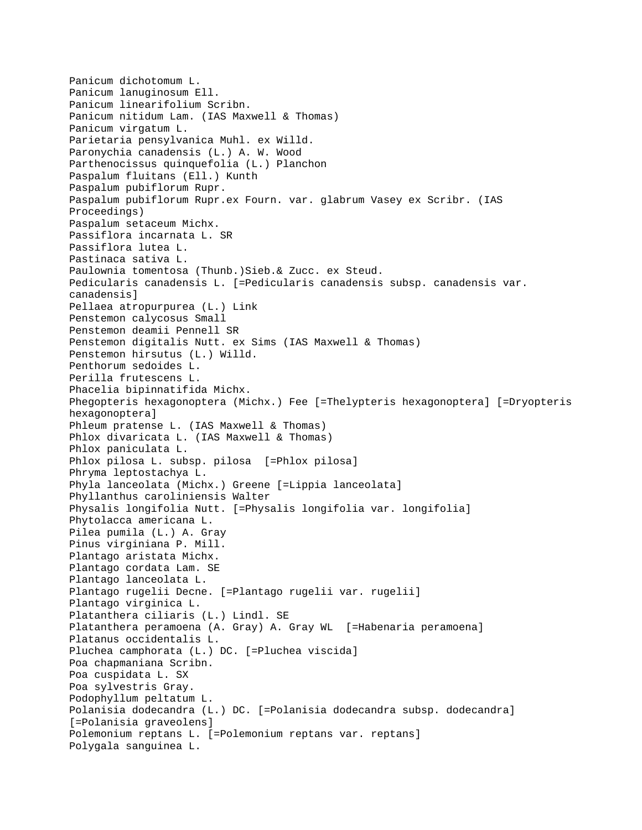```
Panicum dichotomum L.
Panicum lanuginosum Ell.
Panicum linearifolium Scribn.
Panicum nitidum Lam. (IAS Maxwell & Thomas)
Panicum virgatum L.
Parietaria pensylvanica Muhl. ex Willd.
Paronychia canadensis (L.) A. W. Wood
Parthenocissus quinquefolia (L.) Planchon
Paspalum fluitans (Ell.) Kunth
Paspalum pubiflorum Rupr.
Paspalum pubiflorum Rupr.ex Fourn. var. glabrum Vasey ex Scribr. (IAS 
Proceedings)
Paspalum setaceum Michx.
Passiflora incarnata L. SR
Passiflora lutea L.
Pastinaca sativa L.
Paulownia tomentosa (Thunb.)Sieb.& Zucc. ex Steud.
Pedicularis canadensis L. [=Pedicularis canadensis subsp. canadensis var. 
canadensis]
Pellaea atropurpurea (L.) Link
Penstemon calycosus Small
Penstemon deamii Pennell SR 
Penstemon digitalis Nutt. ex Sims (IAS Maxwell & Thomas)
Penstemon hirsutus (L.) Willd.
Penthorum sedoides L.
Perilla frutescens L.
Phacelia bipinnatifida Michx.
Phegopteris hexagonoptera (Michx.) Fee [=Thelypteris hexagonoptera] [=Dryopteris 
hexagonoptera]
Phleum pratense L. (IAS Maxwell & Thomas)
Phlox divaricata L. (IAS Maxwell & Thomas)
Phlox paniculata L.
Phlox pilosa L. subsp. pilosa [=Phlox pilosa]
Phryma leptostachya L.
Phyla lanceolata (Michx.) Greene [=Lippia lanceolata]
Phyllanthus caroliniensis Walter
Physalis longifolia Nutt. [=Physalis longifolia var. longifolia]
Phytolacca americana L.
Pilea pumila (L.) A. Gray
Pinus virginiana P. Mill.
Plantago aristata Michx.
Plantago cordata Lam. SE 
Plantago lanceolata L.
Plantago rugelii Decne. [=Plantago rugelii var. rugelii]
Plantago virginica L.
Platanthera ciliaris (L.) Lindl. SE 
Platanthera peramoena (A. Gray) A. Gray WL [=Habenaria peramoena]
Platanus occidentalis L.
Pluchea camphorata (L.) DC. [=Pluchea viscida]
Poa chapmaniana Scribn.
Poa cuspidata L. SX 
Poa sylvestris Gray.
Podophyllum peltatum L.
Polanisia dodecandra (L.) DC. [=Polanisia dodecandra subsp. dodecandra] 
[=Polanisia graveolens]
Polemonium reptans L. [=Polemonium reptans var. reptans]
Polygala sanguinea L.
```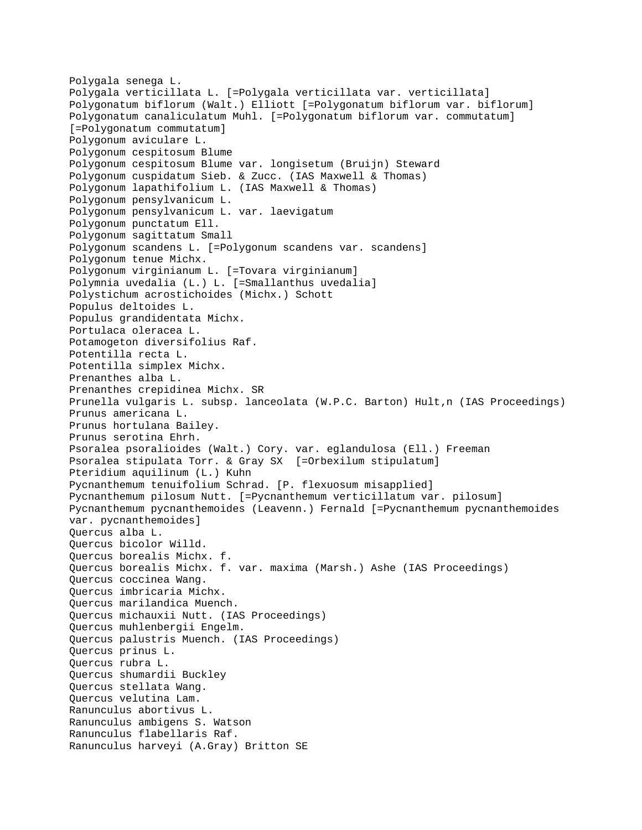```
Polygala senega L.
Polygala verticillata L. [=Polygala verticillata var. verticillata]
Polygonatum biflorum (Walt.) Elliott [=Polygonatum biflorum var. biflorum]
Polygonatum canaliculatum Muhl. [=Polygonatum biflorum var. commutatum] 
[=Polygonatum commutatum]
Polygonum aviculare L.
Polygonum cespitosum Blume
Polygonum cespitosum Blume var. longisetum (Bruijn) Steward
Polygonum cuspidatum Sieb. & Zucc. (IAS Maxwell & Thomas)
Polygonum lapathifolium L. (IAS Maxwell & Thomas)
Polygonum pensylvanicum L.
Polygonum pensylvanicum L. var. laevigatum 
Polygonum punctatum Ell.
Polygonum sagittatum Small
Polygonum scandens L. [=Polygonum scandens var. scandens]
Polygonum tenue Michx.
Polygonum virginianum L. [=Tovara virginianum]
Polymnia uvedalia (L.) L. [=Smallanthus uvedalia]
Polystichum acrostichoides (Michx.) Schott
Populus deltoides L.
Populus grandidentata Michx.
Portulaca oleracea L.
Potamogeton diversifolius Raf.
Potentilla recta L.
Potentilla simplex Michx.
Prenanthes alba L.
Prenanthes crepidinea Michx. SR 
Prunella vulgaris L. subsp. lanceolata (W.P.C. Barton) Hult,n (IAS Proceedings)
Prunus americana L.
Prunus hortulana Bailey.
Prunus serotina Ehrh.
Psoralea psoralioides (Walt.) Cory. var. eglandulosa (Ell.) Freeman
Psoralea stipulata Torr. & Gray SX [=Orbexilum stipulatum]
Pteridium aquilinum (L.) Kuhn
Pycnanthemum tenuifolium Schrad. [P. flexuosum misapplied]
Pycnanthemum pilosum Nutt. [=Pycnanthemum verticillatum var. pilosum]
Pycnanthemum pycnanthemoides (Leavenn.) Fernald [=Pycnanthemum pycnanthemoides 
var. pycnanthemoides]
Quercus alba L.
Quercus bicolor Willd.
Quercus borealis Michx. f.
Quercus borealis Michx. f. var. maxima (Marsh.) Ashe (IAS Proceedings)
Quercus coccinea Wang.
Quercus imbricaria Michx.
Quercus marilandica Muench.
Quercus michauxii Nutt. (IAS Proceedings)
Quercus muhlenbergii Engelm.
Quercus palustris Muench. (IAS Proceedings)
Quercus prinus L.
Quercus rubra L.
Quercus shumardii Buckley
Quercus stellata Wang.
Quercus velutina Lam.
Ranunculus abortivus L.
Ranunculus ambigens S. Watson
Ranunculus flabellaris Raf.
Ranunculus harveyi (A.Gray) Britton SE
```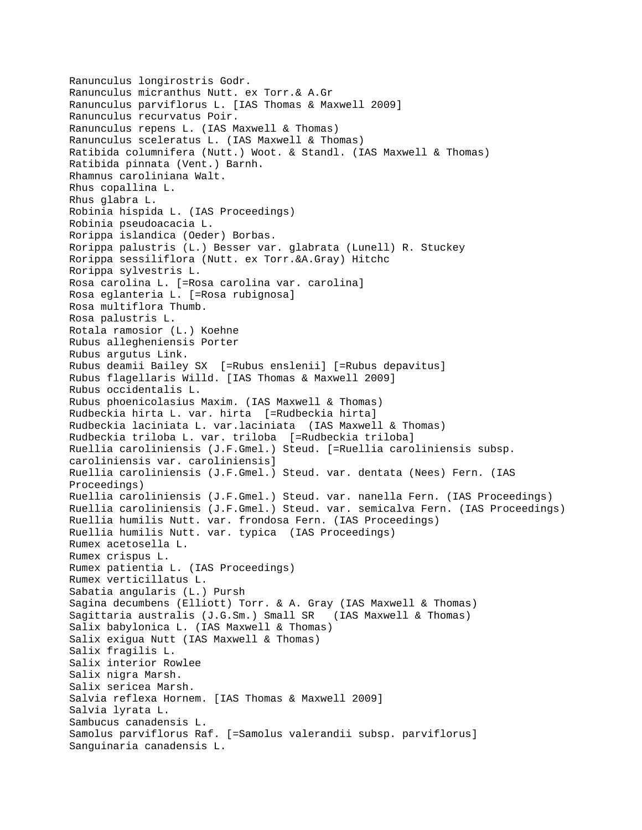```
Ranunculus longirostris Godr.
Ranunculus micranthus Nutt. ex Torr.& A.Gr
Ranunculus parviflorus L. [IAS Thomas & Maxwell 2009]
Ranunculus recurvatus Poir.
Ranunculus repens L. (IAS Maxwell & Thomas)
Ranunculus sceleratus L. (IAS Maxwell & Thomas)
Ratibida columnifera (Nutt.) Woot. & Standl. (IAS Maxwell & Thomas)
Ratibida pinnata (Vent.) Barnh.
Rhamnus caroliniana Walt.
Rhus copallina L.
Rhus glabra L.
Robinia hispida L. (IAS Proceedings)
Robinia pseudoacacia L.
Rorippa islandica (Oeder) Borbas.
Rorippa palustris (L.) Besser var. glabrata (Lunell) R. Stuckey
Rorippa sessiliflora (Nutt. ex Torr.&A.Gray) Hitchc
Rorippa sylvestris L.
Rosa carolina L. [=Rosa carolina var. carolina]
Rosa eglanteria L. [=Rosa rubignosa]
Rosa multiflora Thumb.
Rosa palustris L.
Rotala ramosior (L.) Koehne
Rubus allegheniensis Porter
Rubus argutus Link.
Rubus deamii Bailey SX [=Rubus enslenii] [=Rubus depavitus]
Rubus flagellaris Willd. [IAS Thomas & Maxwell 2009]
Rubus occidentalis L.
Rubus phoenicolasius Maxim. (IAS Maxwell & Thomas)
Rudbeckia hirta L. var. hirta [=Rudbeckia hirta]
Rudbeckia laciniata L. var.laciniata (IAS Maxwell & Thomas)
Rudbeckia triloba L. var. triloba [=Rudbeckia triloba]
Ruellia caroliniensis (J.F.Gmel.) Steud. [=Ruellia caroliniensis subsp. 
caroliniensis var. caroliniensis]
Ruellia caroliniensis (J.F.Gmel.) Steud. var. dentata (Nees) Fern. (IAS 
Proceedings)
Ruellia caroliniensis (J.F.Gmel.) Steud. var. nanella Fern. (IAS Proceedings)
Ruellia caroliniensis (J.F.Gmel.) Steud. var. semicalva Fern. (IAS Proceedings)
Ruellia humilis Nutt. var. frondosa Fern. (IAS Proceedings)
Ruellia humilis Nutt. var. typica (IAS Proceedings)
Rumex acetosella L.
Rumex crispus L.
Rumex patientia L. (IAS Proceedings)
Rumex verticillatus L.
Sabatia angularis (L.) Pursh
Sagina decumbens (Elliott) Torr. & A. Gray (IAS Maxwell & Thomas)
Sagittaria australis (J.G.Sm.) Small SR (IAS Maxwell & Thomas)
Salix babylonica L. (IAS Maxwell & Thomas)
Salix exigua Nutt (IAS Maxwell & Thomas)
Salix fragilis L.
Salix interior Rowlee
Salix nigra Marsh.
Salix sericea Marsh.
Salvia reflexa Hornem. [IAS Thomas & Maxwell 2009]
Salvia lyrata L.
Sambucus canadensis L.
Samolus parviflorus Raf. [=Samolus valerandii subsp. parviflorus]
Sanguinaria canadensis L.
```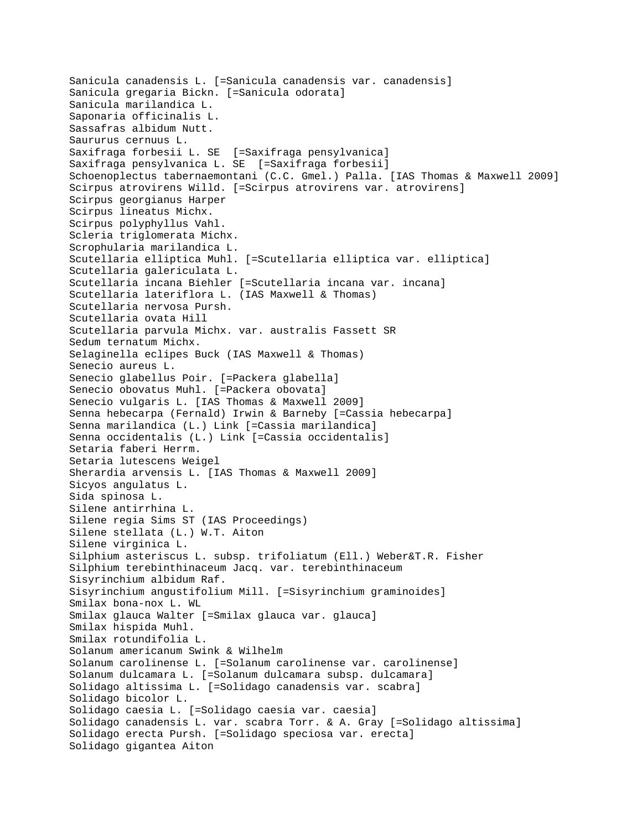Sanicula canadensis L. [=Sanicula canadensis var. canadensis] Sanicula gregaria Bickn. [=Sanicula odorata] Sanicula marilandica L. Saponaria officinalis L. Sassafras albidum Nutt. Saururus cernuus L. Saxifraga forbesii L. SE [=Saxifraga pensylvanica] Saxifraga pensylvanica L. SE [=Saxifraga forbesii] Schoenoplectus tabernaemontani (C.C. Gmel.) Palla. [IAS Thomas & Maxwell 2009] Scirpus atrovirens Willd. [=Scirpus atrovirens var. atrovirens] Scirpus georgianus Harper Scirpus lineatus Michx. Scirpus polyphyllus Vahl. Scleria triglomerata Michx. Scrophularia marilandica L. Scutellaria elliptica Muhl. [=Scutellaria elliptica var. elliptica] Scutellaria galericulata L. Scutellaria incana Biehler [=Scutellaria incana var. incana] Scutellaria lateriflora L. (IAS Maxwell & Thomas) Scutellaria nervosa Pursh. Scutellaria ovata Hill Scutellaria parvula Michx. var. australis Fassett SR Sedum ternatum Michx. Selaginella eclipes Buck (IAS Maxwell & Thomas) Senecio aureus L. Senecio glabellus Poir. [=Packera glabella] Senecio obovatus Muhl. [=Packera obovata] Senecio vulgaris L. [IAS Thomas & Maxwell 2009] Senna hebecarpa (Fernald) Irwin & Barneby [=Cassia hebecarpa] Senna marilandica (L.) Link [=Cassia marilandica] Senna occidentalis (L.) Link [=Cassia occidentalis] Setaria faberi Herrm. Setaria lutescens Weigel Sherardia arvensis L. [IAS Thomas & Maxwell 2009] Sicyos angulatus L. Sida spinosa L. Silene antirrhina L. Silene regia Sims ST (IAS Proceedings) Silene stellata (L.) W.T. Aiton Silene virginica L. Silphium asteriscus L. subsp. trifoliatum (Ell.) Weber&T.R. Fisher Silphium terebinthinaceum Jacq. var. terebinthinaceum Sisyrinchium albidum Raf. Sisyrinchium angustifolium Mill. [=Sisyrinchium graminoides] Smilax bona-nox L. WL Smilax glauca Walter [=Smilax glauca var. glauca] Smilax hispida Muhl. Smilax rotundifolia L. Solanum americanum Swink & Wilhelm Solanum carolinense L. [=Solanum carolinense var. carolinense] Solanum dulcamara L. [=Solanum dulcamara subsp. dulcamara] Solidago altissima L. [=Solidago canadensis var. scabra] Solidago bicolor L. Solidago caesia L. [=Solidago caesia var. caesia] Solidago canadensis L. var. scabra Torr. & A. Gray [=Solidago altissima] Solidago erecta Pursh. [=Solidago speciosa var. erecta] Solidago gigantea Aiton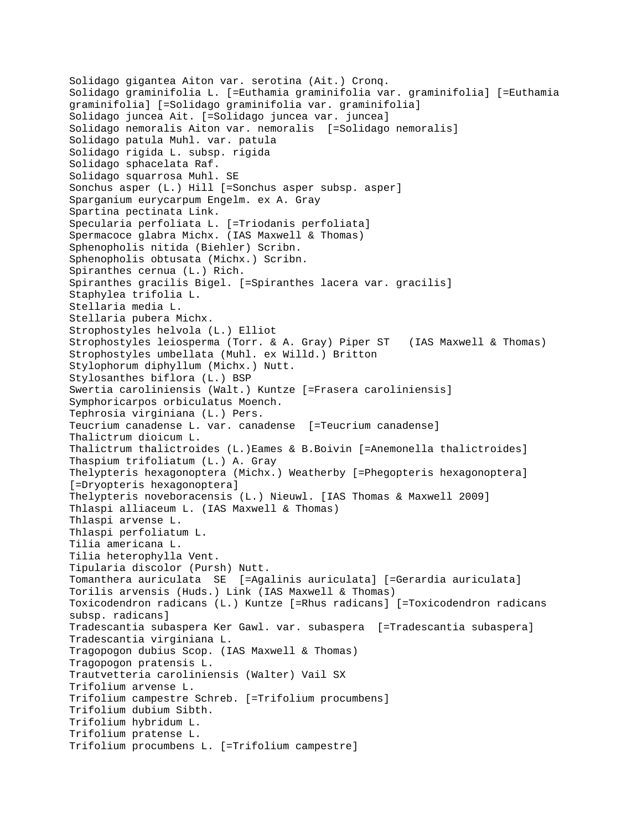Solidago gigantea Aiton var. serotina (Ait.) Cronq. Solidago graminifolia L. [=Euthamia graminifolia var. graminifolia] [=Euthamia graminifolia] [=Solidago graminifolia var. graminifolia] Solidago juncea Ait. [=Solidago juncea var. juncea] Solidago nemoralis Aiton var. nemoralis [=Solidago nemoralis] Solidago patula Muhl. var. patula Solidago rigida L. subsp. rigida Solidago sphacelata Raf. Solidago squarrosa Muhl. SE Sonchus asper (L.) Hill [=Sonchus asper subsp. asper] Sparganium eurycarpum Engelm. ex A. Gray Spartina pectinata Link. Specularia perfoliata L. [=Triodanis perfoliata] Spermacoce glabra Michx. (IAS Maxwell & Thomas) Sphenopholis nitida (Biehler) Scribn. Sphenopholis obtusata (Michx.) Scribn. Spiranthes cernua (L.) Rich. Spiranthes gracilis Bigel. [=Spiranthes lacera var. gracilis] Staphylea trifolia L. Stellaria media L. Stellaria pubera Michx. Strophostyles helvola (L.) Elliot Strophostyles leiosperma (Torr. & A. Gray) Piper ST (IAS Maxwell & Thomas) Strophostyles umbellata (Muhl. ex Willd.) Britton Stylophorum diphyllum (Michx.) Nutt. Stylosanthes biflora (L.) BSP Swertia caroliniensis (Walt.) Kuntze [=Frasera caroliniensis] Symphoricarpos orbiculatus Moench. Tephrosia virginiana (L.) Pers. Teucrium canadense L. var. canadense [=Teucrium canadense] Thalictrum dioicum L. Thalictrum thalictroides (L.)Eames & B.Boivin [=Anemonella thalictroides] Thaspium trifoliatum (L.) A. Gray Thelypteris hexagonoptera (Michx.) Weatherby [=Phegopteris hexagonoptera] [=Dryopteris hexagonoptera] Thelypteris noveboracensis (L.) Nieuwl. [IAS Thomas & Maxwell 2009] Thlaspi alliaceum L. (IAS Maxwell & Thomas) Thlaspi arvense L. Thlaspi perfoliatum L. Tilia americana L. Tilia heterophylla Vent. Tipularia discolor (Pursh) Nutt. Tomanthera auriculata SE [=Agalinis auriculata] [=Gerardia auriculata] Torilis arvensis (Huds.) Link (IAS Maxwell & Thomas) Toxicodendron radicans (L.) Kuntze [=Rhus radicans] [=Toxicodendron radicans subsp. radicans] Tradescantia subaspera Ker Gawl. var. subaspera [=Tradescantia subaspera] Tradescantia virginiana L. Tragopogon dubius Scop. (IAS Maxwell & Thomas) Tragopogon pratensis L. Trautvetteria caroliniensis (Walter) Vail SX Trifolium arvense L. Trifolium campestre Schreb. [=Trifolium procumbens] Trifolium dubium Sibth. Trifolium hybridum L. Trifolium pratense L. Trifolium procumbens L. [=Trifolium campestre]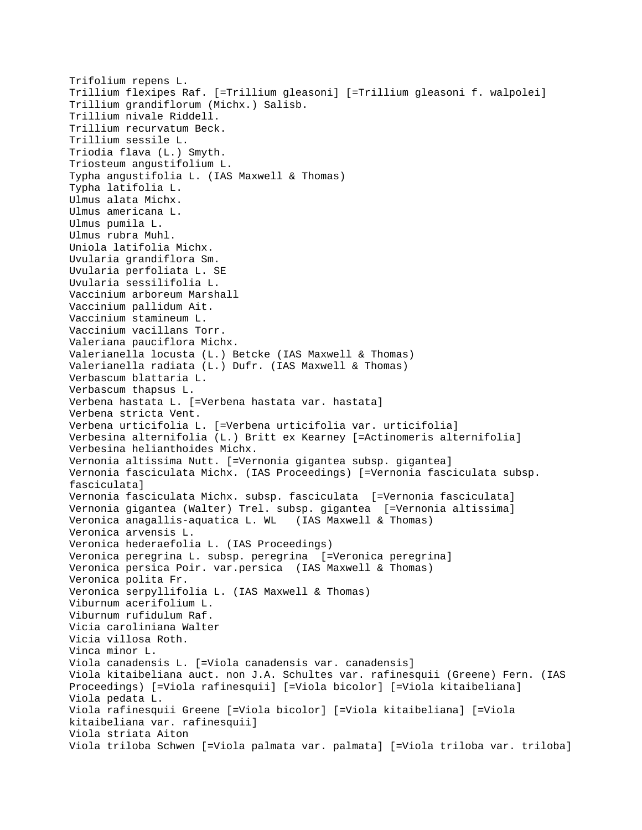Trifolium repens L. Trillium flexipes Raf. [=Trillium gleasoni] [=Trillium gleasoni f. walpolei] Trillium grandiflorum (Michx.) Salisb. Trillium nivale Riddell. Trillium recurvatum Beck. Trillium sessile L. Triodia flava (L.) Smyth. Triosteum angustifolium L. Typha angustifolia L. (IAS Maxwell & Thomas) Typha latifolia L. Ulmus alata Michx. Ulmus americana L. Ulmus pumila L. Ulmus rubra Muhl. Uniola latifolia Michx. Uvularia grandiflora Sm. Uvularia perfoliata L. SE Uvularia sessilifolia L. Vaccinium arboreum Marshall Vaccinium pallidum Ait. Vaccinium stamineum L. Vaccinium vacillans Torr. Valeriana pauciflora Michx. Valerianella locusta (L.) Betcke (IAS Maxwell & Thomas) Valerianella radiata (L.) Dufr. (IAS Maxwell & Thomas) Verbascum blattaria L. Verbascum thapsus L. Verbena hastata L. [=Verbena hastata var. hastata] Verbena stricta Vent. Verbena urticifolia L. [=Verbena urticifolia var. urticifolia] Verbesina alternifolia (L.) Britt ex Kearney [=Actinomeris alternifolia] Verbesina helianthoides Michx. Vernonia altissima Nutt. [=Vernonia gigantea subsp. gigantea] Vernonia fasciculata Michx. (IAS Proceedings) [=Vernonia fasciculata subsp. fasciculata] Vernonia fasciculata Michx. subsp. fasciculata [=Vernonia fasciculata] Vernonia gigantea (Walter) Trel. subsp. gigantea [=Vernonia altissima] Veronica anagallis-aquatica L. WL (IAS Maxwell & Thomas) Veronica arvensis L. Veronica hederaefolia L. (IAS Proceedings) Veronica peregrina L. subsp. peregrina [=Veronica peregrina] Veronica persica Poir. var.persica (IAS Maxwell & Thomas) Veronica polita Fr. Veronica serpyllifolia L. (IAS Maxwell & Thomas) Viburnum acerifolium L. Viburnum rufidulum Raf. Vicia caroliniana Walter Vicia villosa Roth. Vinca minor L. Viola canadensis L. [=Viola canadensis var. canadensis] Viola kitaibeliana auct. non J.A. Schultes var. rafinesquii (Greene) Fern. (IAS Proceedings) [=Viola rafinesquii] [=Viola bicolor] [=Viola kitaibeliana] Viola pedata L. Viola rafinesquii Greene [=Viola bicolor] [=Viola kitaibeliana] [=Viola kitaibeliana var. rafinesquii] Viola striata Aiton Viola triloba Schwen [=Viola palmata var. palmata] [=Viola triloba var. triloba]